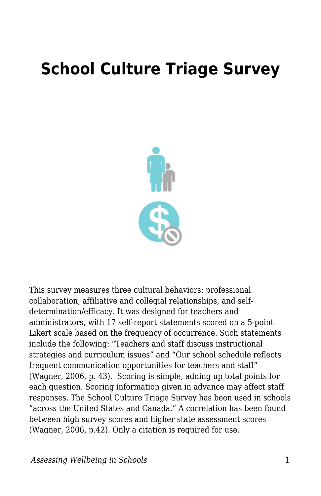## **School Culture Triage Survey**



This survey measures three cultural behaviors: professional collaboration, affiliative and collegial relationships, and selfdetermination/efficacy. It was designed for teachers and administrators, with 17 self-report statements scored on a 5-point Likert scale based on the frequency of occurrence. Such statements include the following: "Teachers and staff discuss instructional strategies and curriculum issues" and "Our school schedule reflects frequent communication opportunities for teachers and staff" (Wagner, 2006, p. 43). Scoring is simple, adding up total points for each question. Scoring information given in advance may affect staff responses. The School Culture Triage Survey has been used in schools "across the United States and Canada." A correlation has been found between high survey scores and higher state assessment scores (Wagner, 2006, p.42). Only a citation is required for use.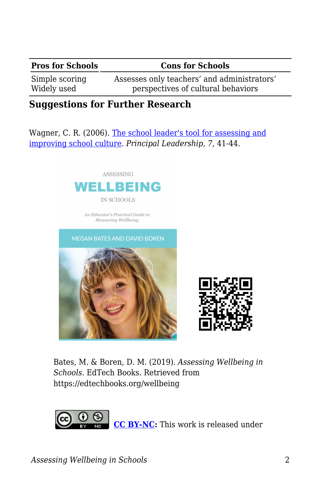## **Pros for Schools Cons for Schools**

Simple scoring Widely used

Assesses only teachers' and administrators' perspectives of cultural behaviors

## **Suggestions for Further Research**

Wagner, C. R. (2006). [The school leader's tool for assessing and](http://www.mssaa.org/gen/mssaa_generated_bin/documents/basic_module/School_culture_triage.pdf) [improving school culture](http://www.mssaa.org/gen/mssaa_generated_bin/documents/basic_module/School_culture_triage.pdf). *Principal Leadership, 7*, 41-44.





Bates, M. & Boren, D. M. (2019). *Assessing Wellbeing in Schools*. EdTech Books. Retrieved from https://edtechbooks.org/wellbeing